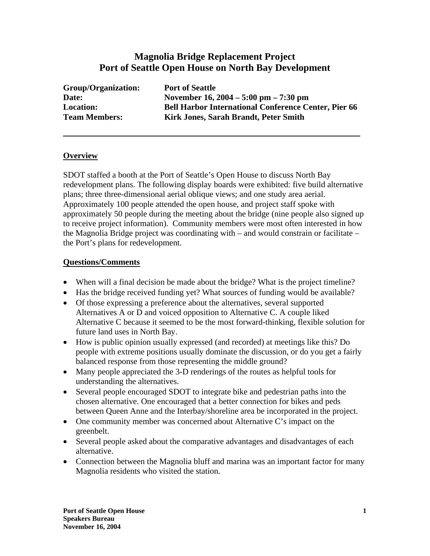## **Magnolia Bridge Replacement Project Port of Seattle Open House on North Bay Development**

| <b>Group/Organization:</b> | Port        |
|----------------------------|-------------|
| Date:                      | <b>Nov</b>  |
| <b>Location:</b>           | <b>Bell</b> |
| <b>Team Members:</b>       | Kirl        |

**t** of Seattle **Date: November 16, 2004 – 5:00 pm – 7:30 pm Harbor International Conference Center, Pier 66 Team Members: Kirk Jones, Sarah Brandt, Peter Smith** 

## **Overview**

SDOT staffed a booth at the Port of Seattle's Open House to discuss North Bay redevelopment plans. The following display boards were exhibited: five build alternative plans; three three-dimensional aerial oblique views; and one study area aerial. Approximately 100 people attended the open house, and project staff spoke with approximately 50 people during the meeting about the bridge (nine people also signed up to receive project information). Community members were most often interested in how the Magnolia Bridge project was coordinating with – and would constrain or facilitate – the Port's plans for redevelopment.

## **Questions/Comments**

- When will a final decision be made about the bridge? What is the project timeline?
- Has the bridge received funding yet? What sources of funding would be available?
- Of those expressing a preference about the alternatives, several supported Alternatives A or D and voiced opposition to Alternative C. A couple liked Alternative C because it seemed to be the most forward-thinking, flexible solution for future land uses in North Bay.
- How is public opinion usually expressed (and recorded) at meetings like this? Do people with extreme positions usually dominate the discussion, or do you get a fairly balanced response from those representing the middle ground?
- Many people appreciated the 3-D renderings of the routes as helpful tools for understanding the alternatives.
- Several people encouraged SDOT to integrate bike and pedestrian paths into the chosen alternative. One encouraged that a better connection for bikes and peds between Queen Anne and the Interbay/shoreline area be incorporated in the project.
- One community member was concerned about Alternative C's impact on the greenbelt.
- Several people asked about the comparative advantages and disadvantages of each alternative.
- Connection between the Magnolia bluff and marina was an important factor for many Magnolia residents who visited the station.